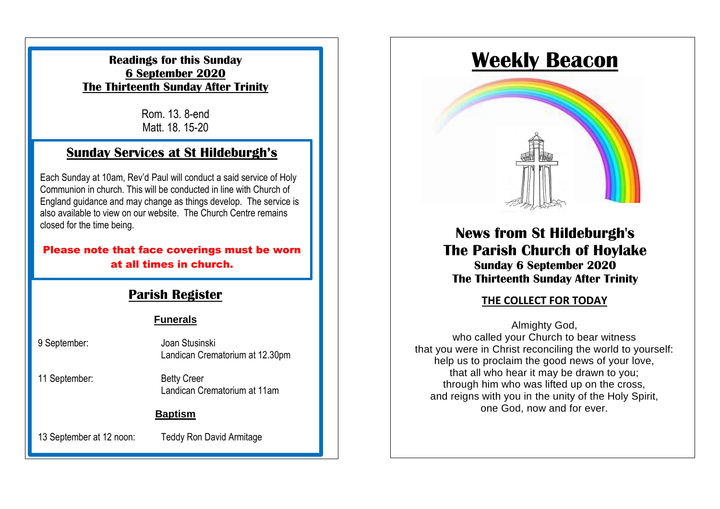### **Readings for this Sunday 6 September 2020 The Thirteenth Sunday After Trinity**

Rom. 13. 8-end Matt. 18. 15-20

# **Sunday Services at St Hildeburgh's**

Each Sunday at 10am, Rev'd Paul will conduct a said service of Holy Communion in church. This will be conducted in line with Church of England guidance and may change as things develop. The service is also available to view on our website. The Church Centre remains closed for the time being.

#### Please note that face coverings must be worn at all times in church.

### **Parish Register**

#### **Funerals**

| 9 September:             | Joan Stusinski<br>Landican Crematorium at 12.30pm  |
|--------------------------|----------------------------------------------------|
| 11 September:            | <b>Betty Creer</b><br>Landican Crematorium at 11am |
| <b>Baptism</b>           |                                                    |
| 13 September at 12 noon: | <b>Teddy Ron David Armitage</b>                    |

# **Weekly Beacon**



# **News from St Hildeburgh's The Parish Church of Hoylake Sunday 6 September 2020 The Thirteenth Sunday After Trinity**

### **THE COLLECT FOR TODAY**

Almighty God, who called your Church to bear witness that you were in Christ reconciling the world to yourself: help us to proclaim the good news of your love, that all who hear it may be drawn to you; through him who was lifted up on the cross, and reigns with you in the unity of the Holy Spirit, one God, now and for ever.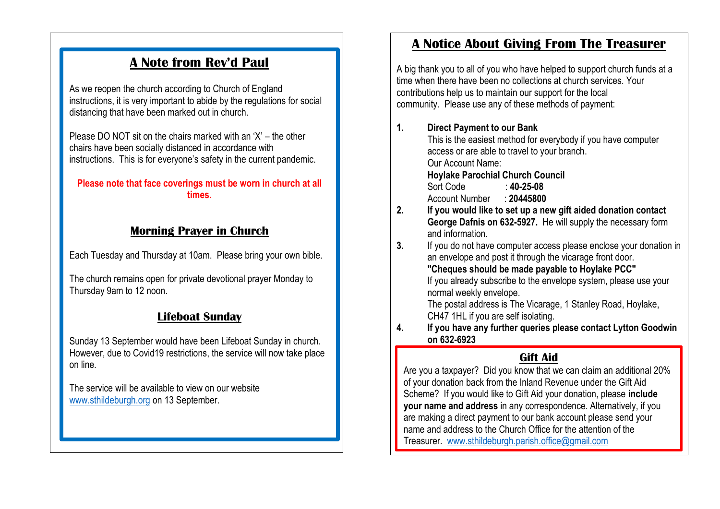# **A Note from Rev'd Paul**

As we reopen the church according to Church of England instructions, it is very important to abide by the regulations for social distancing that have been marked out in church.

Please DO NOT sit on the chairs marked with an 'X' – the other chairs have been socially distanced in accordance with instructions. This is for everyone's safety in the current pandemic.

#### **Please note that face coverings must be worn in church at all times.**

### **Morning Prayer in Church**

Each Tuesday and Thursday at 10am. Please bring your own bible.

The church remains open for private devotional prayer Monday to Thursday 9am to 12 noon.

# **Lifeboat Sunday**

Sunday 13 September would have been Lifeboat Sunday in church. However, due to Covid19 restrictions, the service will now take place on line.

The service will be available to view on our website [www.sthildeburgh.org](http://www.sthildeburgh.org/) on 13 September.

# **A Notice About Giving From The Treasurer**

A big thank you to all of you who have helped to support church funds at a time when there have been no collections at church services. Your contributions help us to maintain our support for the local community. Please use any of these methods of payment:

**1. Direct Payment to our Bank**

This is the easiest method for everybody if you have computer access or are able to travel to your branch. Our Account Name: **Hoylake Parochial Church Council** Sort Code : **40-25-08** Account Number : **20445800 2. If you would like to set up a new gift aided donation contact George Dafnis on 632-5927.** He will supply the necessary form and information.

**3.** If you do not have computer access please enclose your donation in an envelope and post it through the vicarage front door. **"Cheques should be made payable to Hoylake PCC"**

If you already subscribe to the envelope system, please use your normal weekly envelope.

The postal address is The Vicarage, 1 Stanley Road, Hoylake, CH47 1HL if you are self isolating.

**4. If you have any further queries please contact Lytton Goodwin on 632-6923**

# **Gift Aid**

Are you a taxpayer? Did you know that we can claim an additional 20% of your donation back from the Inland Revenue under the Gift Aid Scheme? If you would like to Gift Aid your donation, please **include your name and address** in any correspondence. Alternatively, if you are making a direct payment to our bank account please send your name and address to the Church Office for the attention of the Treasurer. [www.sthildeburgh.parish.office@gmail.com](http://www.sthildeburgh.parish.office@gmail.com)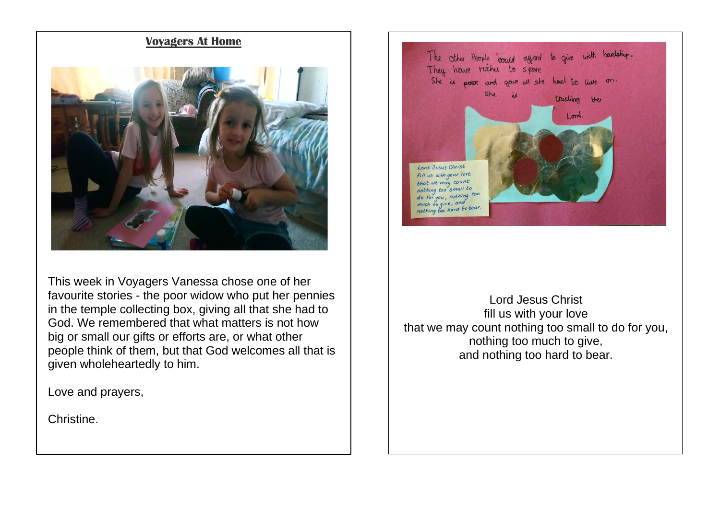#### **Voyagers At Home**



This week in Voyagers Vanessa chose one of her favourite stories - the poor widow who put her pennies in the temple collecting box, giving all that she had to God. We remembered that what matters is not how big or small our gifts or efforts are, or what other people think of them, but that God welcomes all that is given wholeheartedly to him.

Love and prayers,

Christine.



Lord Jesus Christ fill us with your love that we may count nothing too small to do for you, nothing too much to give, and nothing too hard to bear.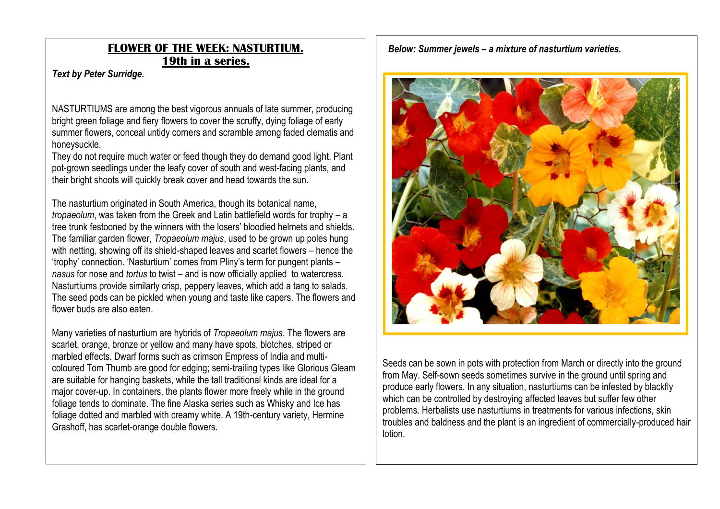### **FLOWER OF THE WEEK: NASTURTIUM. 19th in a series.**

#### *Text by Peter Surridge.*

NASTURTIUMS are among the best vigorous annuals of late summer, producing bright green foliage and fiery flowers to cover the scruffy, dying foliage of early summer flowers, conceal untidy corners and scramble among faded clematis and honeysuckle.

They do not require much water or feed though they do demand good light. Plant pot-grown seedlings under the leafy cover of south and west-facing plants, and their bright shoots will quickly break cover and head towards the sun.

The nasturtium originated in South America, though its botanical name, *tropaeolum*, was taken from the Greek and Latin battlefield words for trophy – a tree trunk festooned by the winners with the losers' bloodied helmets and shields. The familiar garden flower, *Tropaeolum majus*, used to be grown up poles hung with netting, showing off its shield-shaped leaves and scarlet flowers – hence the 'trophy' connection. 'Nasturtium' comes from Pliny's term for pungent plants – *nasus* for nose and *tortus* to twist – and is now officially applied to watercress. Nasturtiums provide similarly crisp, peppery leaves, which add a tang to salads. The seed pods can be pickled when young and taste like capers. The flowers and flower buds are also eaten.

Many varieties of nasturtium are hybrids of *Tropaeolum majus*. The flowers are scarlet, orange, bronze or yellow and many have spots, blotches, striped or marbled effects. Dwarf forms such as crimson Empress of India and multicoloured Tom Thumb are good for edging; semi-trailing types like Glorious Gleam are suitable for hanging baskets, while the tall traditional kinds are ideal for a major cover-up. In containers, the plants flower more freely while in the ground foliage tends to dominate. The fine Alaska series such as Whisky and Ice has foliage dotted and marbled with creamy white. A 19th-century variety, Hermine Grashoff, has scarlet-orange double flowers.

*Below: Summer jewels – a mixture of nasturtium varieties.*



Seeds can be sown in pots with protection from March or directly into the ground from May. Self-sown seeds sometimes survive in the ground until spring and produce early flowers. In any situation, nasturtiums can be infested by blackfly which can be controlled by destroying affected leaves but suffer few other problems. Herbalists use nasturtiums in treatments for various infections, skin troubles and baldness and the plant is an ingredient of commercially-produced hair lotion.